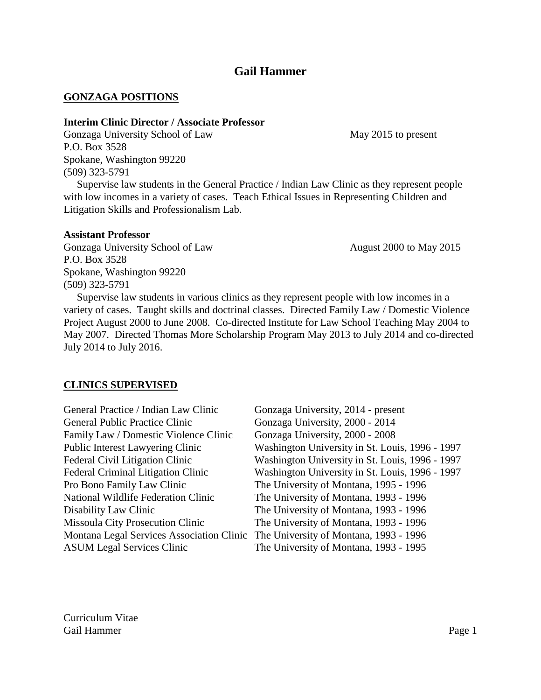# **Gail Hammer**

## **GONZAGA POSITIONS**

## **Interim Clinic Director / Associate Professor**

Gonzaga University School of Law May 2015 to present P.O. Box 3528 Spokane, Washington 99220 (509) 323-5791

 Supervise law students in the General Practice / Indian Law Clinic as they represent people with low incomes in a variety of cases. Teach Ethical Issues in Representing Children and Litigation Skills and Professionalism Lab.

### **Assistant Professor**

Gonzaga University School of Law August 2000 to May 2015 P.O. Box 3528 Spokane, Washington 99220 (509) 323-5791

 Supervise law students in various clinics as they represent people with low incomes in a variety of cases. Taught skills and doctrinal classes. Directed Family Law / Domestic Violence Project August 2000 to June 2008. Co-directed Institute for Law School Teaching May 2004 to May 2007. Directed Thomas More Scholarship Program May 2013 to July 2014 and co-directed July 2014 to July 2016.

## **CLINICS SUPERVISED**

| General Practice / Indian Law Clinic      | Gonzaga University, 2014 - present              |
|-------------------------------------------|-------------------------------------------------|
| <b>General Public Practice Clinic</b>     | Gonzaga University, 2000 - 2014                 |
| Family Law / Domestic Violence Clinic     | Gonzaga University, 2000 - 2008                 |
| Public Interest Lawyering Clinic          | Washington University in St. Louis, 1996 - 1997 |
| Federal Civil Litigation Clinic           | Washington University in St. Louis, 1996 - 1997 |
| <b>Federal Criminal Litigation Clinic</b> | Washington University in St. Louis, 1996 - 1997 |
| Pro Bono Family Law Clinic                | The University of Montana, 1995 - 1996          |
| National Wildlife Federation Clinic       | The University of Montana, 1993 - 1996          |
| Disability Law Clinic                     | The University of Montana, 1993 - 1996          |
| <b>Missoula City Prosecution Clinic</b>   | The University of Montana, 1993 - 1996          |
| Montana Legal Services Association Clinic | The University of Montana, 1993 - 1996          |
| <b>ASUM Legal Services Clinic</b>         | The University of Montana, 1993 - 1995          |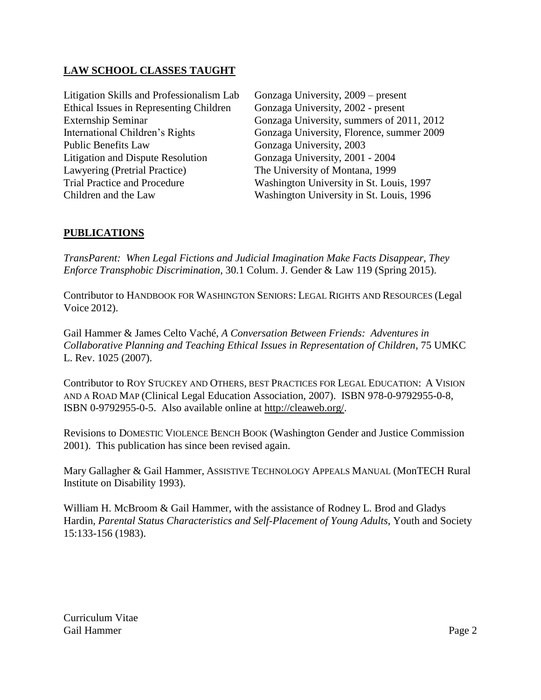# **LAW SCHOOL CLASSES TAUGHT**

| Litigation Skills and Professionalism Lab      | Gonzaga University, 2009 – present        |
|------------------------------------------------|-------------------------------------------|
| <b>Ethical Issues in Representing Children</b> | Gonzaga University, 2002 - present        |
| <b>Externship Seminar</b>                      | Gonzaga University, summers of 2011, 2012 |
| International Children's Rights                | Gonzaga University, Florence, summer 2009 |
| <b>Public Benefits Law</b>                     | Gonzaga University, 2003                  |
| <b>Litigation and Dispute Resolution</b>       | Gonzaga University, 2001 - 2004           |
| Lawyering (Pretrial Practice)                  | The University of Montana, 1999           |
| <b>Trial Practice and Procedure</b>            | Washington University in St. Louis, 1997  |
| Children and the Law                           | Washington University in St. Louis, 1996  |
|                                                |                                           |

# **PUBLICATIONS**

*TransParent: When Legal Fictions and Judicial Imagination Make Facts Disappear, They Enforce Transphobic Discrimination*, 30.1 Colum. J. Gender & Law 119 (Spring 2015).

Contributor to HANDBOOK FOR WASHINGTON SENIORS: LEGAL RIGHTS AND RESOURCES (Legal Voice 2012).

Gail Hammer & James Celto Vaché, *A Conversation Between Friends: Adventures in Collaborative Planning and Teaching Ethical Issues in Representation of Children*, 75 UMKC L. Rev. 1025 (2007).

Contributor to ROY STUCKEY AND OTHERS, BEST PRACTICES FOR LEGAL EDUCATION: A VISION AND A ROAD MAP (Clinical Legal Education Association, 2007). ISBN 978-0-9792955-0-8, ISBN 0-9792955-0-5. Also available online at [http://cleaweb.org/.](http://cleaweb.org/)

Revisions to DOMESTIC VIOLENCE BENCH BOOK (Washington Gender and Justice Commission 2001). This publication has since been revised again.

Mary Gallagher & Gail Hammer, ASSISTIVE TECHNOLOGY APPEALS MANUAL (MonTECH Rural Institute on Disability 1993).

William H. McBroom & Gail Hammer, with the assistance of Rodney L. Brod and Gladys Hardin, *Parental Status Characteristics and Self-Placement of Young Adults*, Youth and Society 15:133-156 (1983).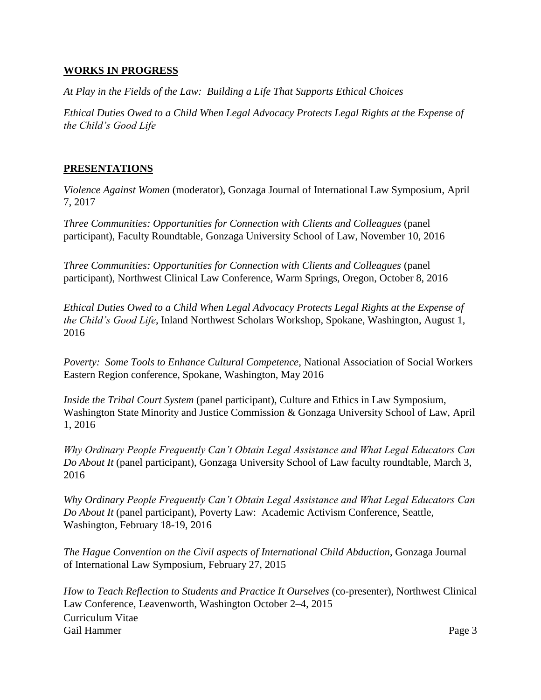## **WORKS IN PROGRESS**

*At Play in the Fields of the Law: Building a Life That Supports Ethical Choices*

*Ethical Duties Owed to a Child When Legal Advocacy Protects Legal Rights at the Expense of the Child's Good Life*

# **PRESENTATIONS**

*Violence Against Women* (moderator), Gonzaga Journal of International Law Symposium, April 7, 2017

*Three Communities: Opportunities for Connection with Clients and Colleagues* (panel participant), Faculty Roundtable, Gonzaga University School of Law, November 10, 2016

*Three Communities: Opportunities for Connection with Clients and Colleagues* (panel participant), Northwest Clinical Law Conference, Warm Springs, Oregon, October 8, 2016

*Ethical Duties Owed to a Child When Legal Advocacy Protects Legal Rights at the Expense of the Child's Good Life*, Inland Northwest Scholars Workshop, Spokane, Washington, August 1, 2016

*Poverty: Some Tools to Enhance Cultural Competence*, National Association of Social Workers Eastern Region conference, Spokane, Washington, May 2016

*Inside the Tribal Court System* (panel participant), Culture and Ethics in Law Symposium, Washington State Minority and Justice Commission & Gonzaga University School of Law, April 1, 2016

*Why Ordinary People Frequently Can't Obtain Legal Assistance and What Legal Educators Can Do About It* (panel participant), Gonzaga University School of Law faculty roundtable, March 3, 2016

*Why Ordinary People Frequently Can't Obtain Legal Assistance and What Legal Educators Can Do About It* (panel participant), Poverty Law: Academic Activism Conference, Seattle, Washington, February 18-19, 2016

*The Hague Convention on the Civil aspects of International Child Abduction*, Gonzaga Journal of International Law Symposium, February 27, 2015

Curriculum Vitae Gail Hammer Page 3 *How to Teach Reflection to Students and Practice It Ourselves* (co-presenter), Northwest Clinical Law Conference, Leavenworth, Washington October 2–4, 2015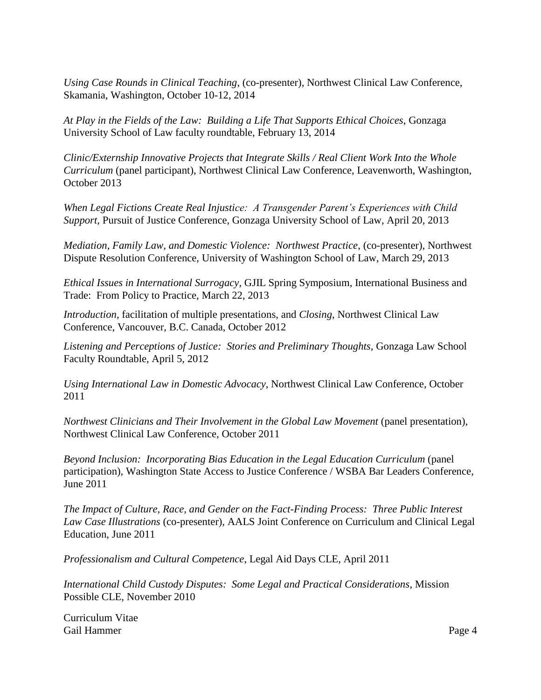*Using Case Rounds in Clinical Teaching*, (co-presenter), Northwest Clinical Law Conference, Skamania, Washington, October 10-12, 2014

*At Play in the Fields of the Law: Building a Life That Supports Ethical Choices*, Gonzaga University School of Law faculty roundtable, February 13, 2014

*Clinic/Externship Innovative Projects that Integrate Skills / Real Client Work Into the Whole Curriculum* (panel participant), Northwest Clinical Law Conference, Leavenworth, Washington, October 2013

*When Legal Fictions Create Real Injustice: A Transgender Parent's Experiences with Child Support*, Pursuit of Justice Conference, Gonzaga University School of Law, April 20, 2013

*Mediation, Family Law, and Domestic Violence: Northwest Practice*, (co-presenter), Northwest Dispute Resolution Conference, University of Washington School of Law, March 29, 2013

*Ethical Issues in International Surrogacy*, GJIL Spring Symposium, International Business and Trade: From Policy to Practice, March 22, 2013

*Introduction,* facilitation of multiple presentations, and *Closing*, Northwest Clinical Law Conference, Vancouver, B.C. Canada, October 2012

*Listening and Perceptions of Justice: Stories and Preliminary Thoughts*, Gonzaga Law School Faculty Roundtable, April 5, 2012

*Using International Law in Domestic Advocacy*, Northwest Clinical Law Conference, October 2011

*Northwest Clinicians and Their Involvement in the Global Law Movement* (panel presentation), Northwest Clinical Law Conference, October 2011

*Beyond Inclusion: Incorporating Bias Education in the Legal Education Curriculum* (panel participation), Washington State Access to Justice Conference / WSBA Bar Leaders Conference, June 2011

*The Impact of Culture, Race, and Gender on the Fact-Finding Process: Three Public Interest Law Case Illustrations* (co-presenter), AALS Joint Conference on Curriculum and Clinical Legal Education, June 2011

*Professionalism and Cultural Competence*, Legal Aid Days CLE, April 2011

*International Child Custody Disputes: Some Legal and Practical Considerations*, Mission Possible CLE, November 2010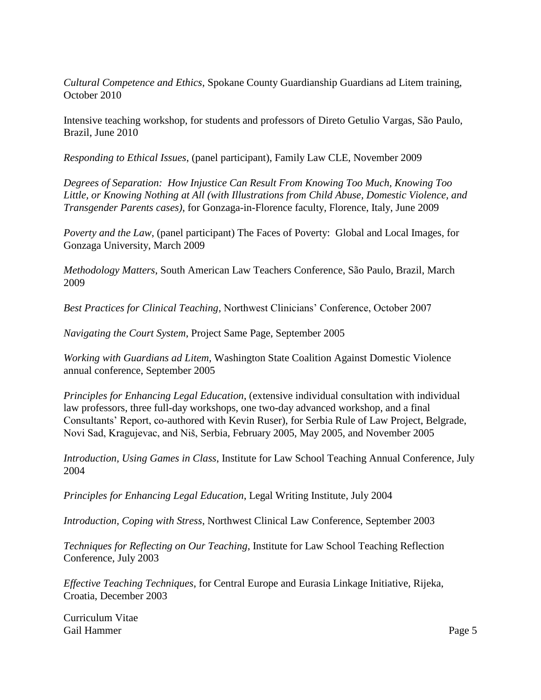*Cultural Competence and Ethics*, Spokane County Guardianship Guardians ad Litem training, October 2010

Intensive teaching workshop, for students and professors of Direto Getulio Vargas, São Paulo, Brazil, June 2010

*Responding to Ethical Issues*, (panel participant), Family Law CLE, November 2009

*Degrees of Separation: How Injustice Can Result From Knowing Too Much, Knowing Too Little, or Knowing Nothing at All (with Illustrations from Child Abuse, Domestic Violence, and Transgender Parents cases)*, for Gonzaga-in-Florence faculty, Florence, Italy, June 2009

*Poverty and the Law*, (panel participant) The Faces of Poverty: Global and Local Images*,* for Gonzaga University, March 2009

*Methodology Matters*, South American Law Teachers Conference, São Paulo, Brazil, March 2009

*Best Practices for Clinical Teaching*, Northwest Clinicians' Conference, October 2007

*Navigating the Court System*, Project Same Page, September 2005

*Working with Guardians ad Litem*, Washington State Coalition Against Domestic Violence annual conference, September 2005

*Principles for Enhancing Legal Education*, (extensive individual consultation with individual law professors, three full-day workshops, one two-day advanced workshop, and a final Consultants' Report, co-authored with Kevin Ruser), for Serbia Rule of Law Project, Belgrade, Novi Sad, Kragujevac, and Niš, Serbia, February 2005, May 2005, and November 2005

*Introduction, Using Games in Class*, Institute for Law School Teaching Annual Conference, July 2004

*Principles for Enhancing Legal Education*, Legal Writing Institute, July 2004

*Introduction, Coping with Stress*, Northwest Clinical Law Conference, September 2003

*Techniques for Reflecting on Our Teaching*, Institute for Law School Teaching Reflection Conference, July 2003

*Effective Teaching Techniques*, for Central Europe and Eurasia Linkage Initiative, Rijeka, Croatia, December 2003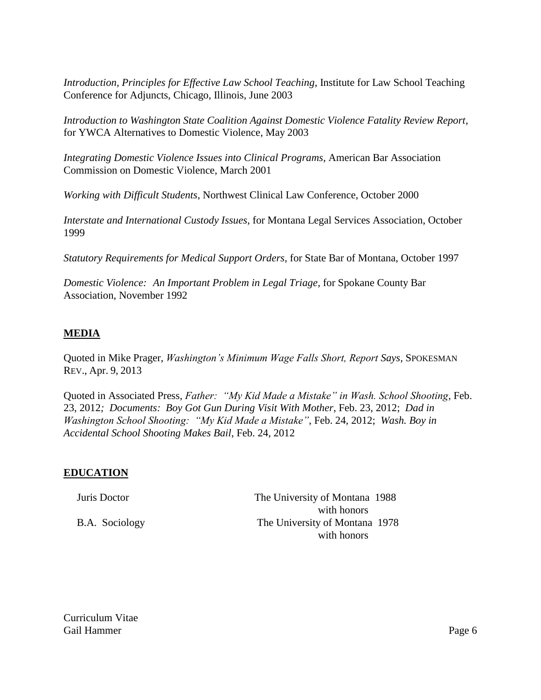*Introduction, Principles for Effective Law School Teaching*, Institute for Law School Teaching Conference for Adjuncts, Chicago, Illinois, June 2003

*Introduction to Washington State Coalition Against Domestic Violence Fatality Review Report*, for YWCA Alternatives to Domestic Violence, May 2003

*Integrating Domestic Violence Issues into Clinical Programs*, American Bar Association Commission on Domestic Violence, March 2001

*Working with Difficult Students*, Northwest Clinical Law Conference, October 2000

*Interstate and International Custody Issues*, for Montana Legal Services Association, October 1999

*Statutory Requirements for Medical Support Orders*, for State Bar of Montana, October 1997

*Domestic Violence: An Important Problem in Legal Triage*, for Spokane County Bar Association, November 1992

# **MEDIA**

Quoted in Mike Prager, *Washington's Minimum Wage Falls Short, Report Says,* SPOKESMAN REV., Apr. 9, 2013

Quoted in Associated Press, *Father: "My Kid Made a Mistake" in Wash. School Shooting*, Feb. 23, 2012*; Documents: Boy Got Gun During Visit With Mother*, Feb. 23, 2012; *Dad in Washington School Shooting: "My Kid Made a Mistake"*, Feb. 24, 2012; *Wash. Boy in Accidental School Shooting Makes Bail*, Feb. 24, 2012

# **EDUCATION**

| Juris Doctor   | The University of Montana 1988 |
|----------------|--------------------------------|
|                | with honors                    |
| B.A. Sociology | The University of Montana 1978 |
|                | with honors                    |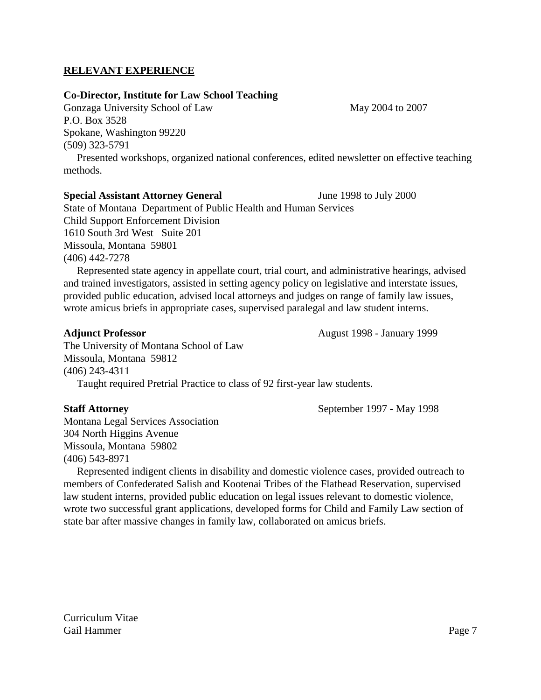## **RELEVANT EXPERIENCE**

### **Co-Director, Institute for Law School Teaching**

Gonzaga University School of Law May 2004 to 2007 P.O. Box 3528 Spokane, Washington 99220 (509) 323-5791

 Presented workshops, organized national conferences, edited newsletter on effective teaching methods.

### **Special Assistant Attorney General** *June* 1998 to July 2000

State of Montana Department of Public Health and Human Services Child Support Enforcement Division 1610 South 3rd West Suite 201 Missoula, Montana 59801 (406) 442-7278

 Represented state agency in appellate court, trial court, and administrative hearings, advised and trained investigators, assisted in setting agency policy on legislative and interstate issues, provided public education, advised local attorneys and judges on range of family law issues, wrote amicus briefs in appropriate cases, supervised paralegal and law student interns.

The University of Montana School of Law Missoula, Montana 59812 (406) 243-4311

Taught required Pretrial Practice to class of 92 first-year law students.

### **Staff Attorney September 1997 - May 1998**

Montana Legal Services Association 304 North Higgins Avenue Missoula, Montana 59802 (406) 543-8971

 Represented indigent clients in disability and domestic violence cases, provided outreach to members of Confederated Salish and Kootenai Tribes of the Flathead Reservation, supervised law student interns, provided public education on legal issues relevant to domestic violence, wrote two successful grant applications, developed forms for Child and Family Law section of state bar after massive changes in family law, collaborated on amicus briefs.

**Adjunct Professor August 1998 - January 1999**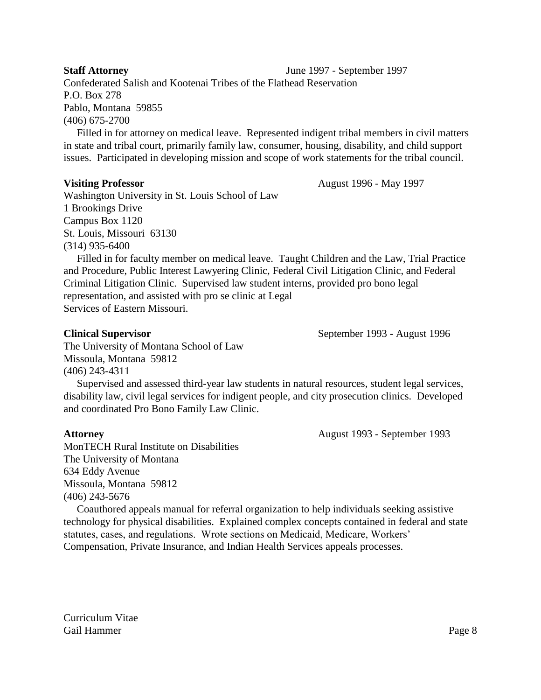### **Staff Attorney** June 1997 - September 1997

Confederated Salish and Kootenai Tribes of the Flathead Reservation P.O. Box 278 Pablo, Montana 59855 (406) 675-2700

 Filled in for attorney on medical leave. Represented indigent tribal members in civil matters in state and tribal court, primarily family law, consumer, housing, disability, and child support issues. Participated in developing mission and scope of work statements for the tribal council.

**Visiting Professor August 1996 - May 1997** 

Washington University in St. Louis School of Law 1 Brookings Drive Campus Box 1120 St. Louis, Missouri 63130 (314) 935-6400

 Filled in for faculty member on medical leave. Taught Children and the Law, Trial Practice and Procedure, Public Interest Lawyering Clinic, Federal Civil Litigation Clinic, and Federal Criminal Litigation Clinic. Supervised law student interns, provided pro bono legal representation, and assisted with pro se clinic at Legal Services of Eastern Missouri.

**Clinical Supervisor** September 1993 - August 1996

The University of Montana School of Law Missoula, Montana 59812 (406) 243-4311

 Supervised and assessed third-year law students in natural resources, student legal services, disability law, civil legal services for indigent people, and city prosecution clinics. Developed and coordinated Pro Bono Family Law Clinic.

## **Attorney** August 1993 - September 1993

MonTECH Rural Institute on Disabilities The University of Montana 634 Eddy Avenue Missoula, Montana 59812 (406) 243-5676

 Coauthored appeals manual for referral organization to help individuals seeking assistive technology for physical disabilities. Explained complex concepts contained in federal and state statutes, cases, and regulations. Wrote sections on Medicaid, Medicare, Workers'

Compensation, Private Insurance, and Indian Health Services appeals processes.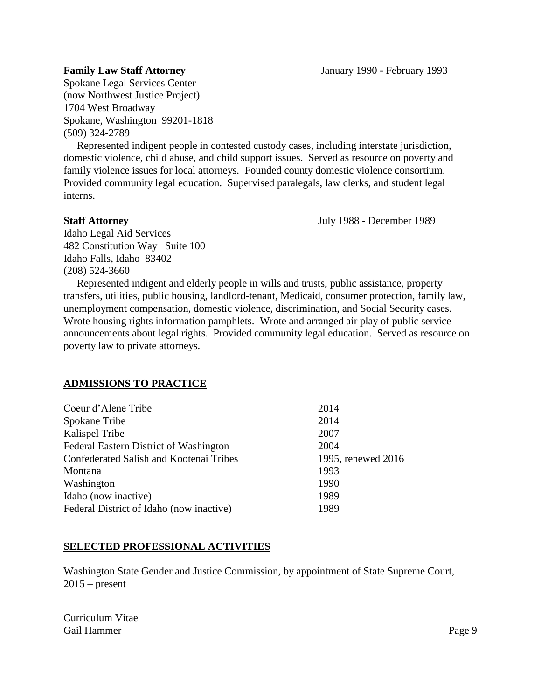Spokane Legal Services Center (now Northwest Justice Project) 1704 West Broadway Spokane, Washington 99201-1818 (509) 324-2789

 Represented indigent people in contested custody cases, including interstate jurisdiction, domestic violence, child abuse, and child support issues. Served as resource on poverty and family violence issues for local attorneys. Founded county domestic violence consortium. Provided community legal education. Supervised paralegals, law clerks, and student legal interns.

**Staff Attorney** July 1988 - December 1989

Idaho Legal Aid Services 482 Constitution Way Suite 100 Idaho Falls, Idaho 83402 (208) 524-3660

 Represented indigent and elderly people in wills and trusts, public assistance, property transfers, utilities, public housing, landlord-tenant, Medicaid, consumer protection, family law, unemployment compensation, domestic violence, discrimination, and Social Security cases. Wrote housing rights information pamphlets. Wrote and arranged air play of public service announcements about legal rights. Provided community legal education. Served as resource on poverty law to private attorneys.

## **ADMISSIONS TO PRACTICE**

| Coeur d'Alene Tribe                      | 2014               |
|------------------------------------------|--------------------|
| Spokane Tribe                            | 2014               |
| Kalispel Tribe                           | 2007               |
| Federal Eastern District of Washington   | 2004               |
| Confederated Salish and Kootenai Tribes  | 1995, renewed 2016 |
| Montana                                  | 1993               |
| Washington                               | 1990               |
| Idaho (now inactive)                     | 1989               |
| Federal District of Idaho (now inactive) | 1989               |
|                                          |                    |

# **SELECTED PROFESSIONAL ACTIVITIES**

Washington State Gender and Justice Commission, by appointment of State Supreme Court,  $2015$  – present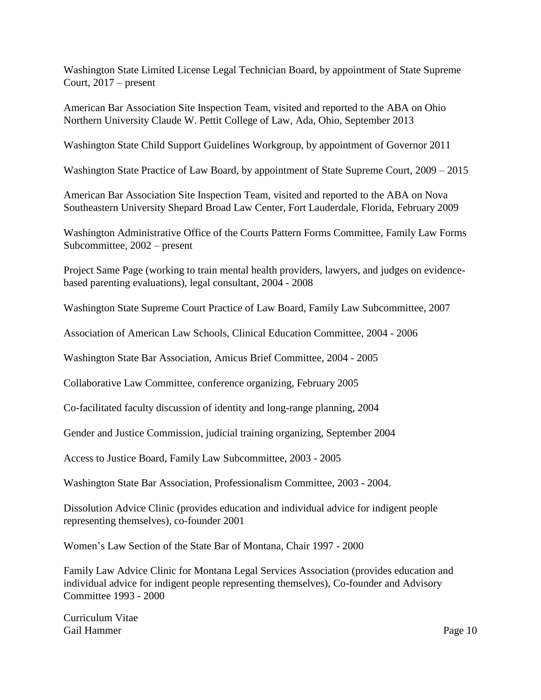Washington State Limited License Legal Technician Board, by appointment of State Supreme Court, 2017 – present

American Bar Association Site Inspection Team, visited and reported to the ABA on Ohio Northern University Claude W. Pettit College of Law, Ada, Ohio, September 2013

Washington State Child Support Guidelines Workgroup, by appointment of Governor 2011

Washington State Practice of Law Board, by appointment of State Supreme Court, 2009 – 2015

American Bar Association Site Inspection Team, visited and reported to the ABA on Nova Southeastern University Shepard Broad Law Center, Fort Lauderdale, Florida, February 2009

Washington Administrative Office of the Courts Pattern Forms Committee, Family Law Forms Subcommittee, 2002 – present

Project Same Page (working to train mental health providers, lawyers, and judges on evidencebased parenting evaluations), legal consultant, 2004 - 2008

Washington State Supreme Court Practice of Law Board, Family Law Subcommittee, 2007

Association of American Law Schools, Clinical Education Committee, 2004 - 2006

Washington State Bar Association, Amicus Brief Committee, 2004 - 2005

Collaborative Law Committee, conference organizing, February 2005

Co-facilitated faculty discussion of identity and long-range planning, 2004

Gender and Justice Commission, judicial training organizing, September 2004

Access to Justice Board, Family Law Subcommittee, 2003 - 2005

Washington State Bar Association, Professionalism Committee, 2003 - 2004.

Dissolution Advice Clinic (provides education and individual advice for indigent people representing themselves), co-founder 2001

Women's Law Section of the State Bar of Montana, Chair 1997 - 2000

Family Law Advice Clinic for Montana Legal Services Association (provides education and individual advice for indigent people representing themselves), Co-founder and Advisory Committee 1993 - 2000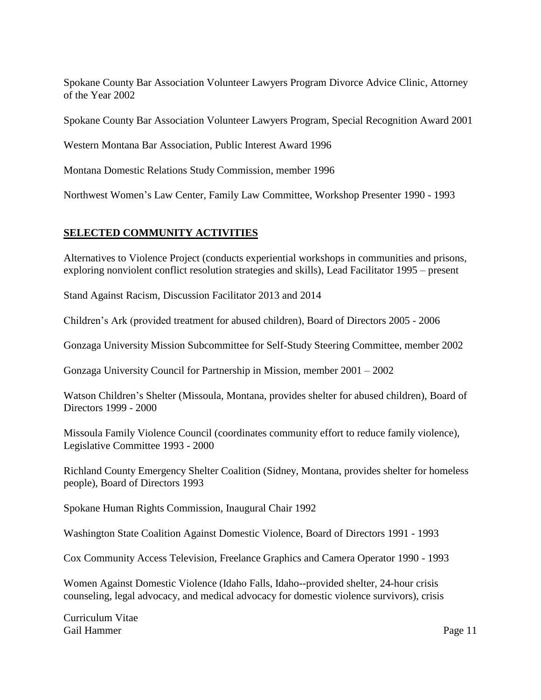Spokane County Bar Association Volunteer Lawyers Program Divorce Advice Clinic, Attorney of the Year 2002

Spokane County Bar Association Volunteer Lawyers Program, Special Recognition Award 2001

Western Montana Bar Association, Public Interest Award 1996

Montana Domestic Relations Study Commission, member 1996

Northwest Women's Law Center, Family Law Committee, Workshop Presenter 1990 - 1993

# **SELECTED COMMUNITY ACTIVITIES**

Alternatives to Violence Project (conducts experiential workshops in communities and prisons, exploring nonviolent conflict resolution strategies and skills), Lead Facilitator 1995 – present

Stand Against Racism, Discussion Facilitator 2013 and 2014

Children's Ark (provided treatment for abused children), Board of Directors 2005 - 2006

Gonzaga University Mission Subcommittee for Self-Study Steering Committee, member 2002

Gonzaga University Council for Partnership in Mission, member 2001 – 2002

Watson Children's Shelter (Missoula, Montana, provides shelter for abused children), Board of Directors 1999 - 2000

Missoula Family Violence Council (coordinates community effort to reduce family violence), Legislative Committee 1993 - 2000

Richland County Emergency Shelter Coalition (Sidney, Montana, provides shelter for homeless people), Board of Directors 1993

Spokane Human Rights Commission, Inaugural Chair 1992

Washington State Coalition Against Domestic Violence, Board of Directors 1991 - 1993

Cox Community Access Television, Freelance Graphics and Camera Operator 1990 - 1993

Women Against Domestic Violence (Idaho Falls, Idaho--provided shelter, 24-hour crisis counseling, legal advocacy, and medical advocacy for domestic violence survivors), crisis